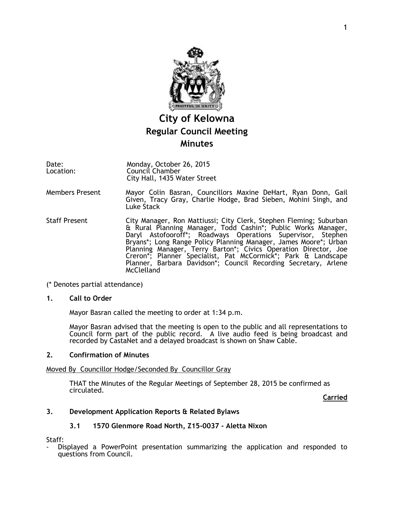

# **City of Kelowna Regular Council Meeting Minutes**

Date: Location: Monday, October 26, 2015 Council Chamber City Hall, 1435 Water Street

- Members Present Mayor Colin Basran, Councillors Maxine DeHart, Ryan Donn, Gail Given, Tracy Gray, Charlie Hodge, Brad Sieben, Mohini Singh, and Luke Stack
- Staff Present **City Manager, Ron Mattiussi; City Clerk, Stephen Fleming; Suburban** & Rural Planning Manager, Todd Cashin\*; Public Works Manager, Daryl Astofooroff\*; Roadways Operations Supervisor, Stephen Bryans\*; Long Range Policy Planning Manager, James Moore\*; Urban Planning Manager, Terry Barton\*; Civics Operation Director, Joe Creron\*; Planner Specialist, Pat McCormick\*; Park & Landscape Planner, Barbara Davidson\*; Council Recording Secretary, Arlene McClelland
- (\* Denotes partial attendance)

#### **1. Call to Order**

Mayor Basran called the meeting to order at 1:34 p.m.

Mayor Basran advised that the meeting is open to the public and all representations to Council form part of the public record. A live audio feed is being broadcast and recorded by CastaNet and a delayed broadcast is shown on Shaw Cable.

#### **2. Confirmation of Minutes**

#### Moved By Councillor Hodge/Seconded By Councillor Gray

THAT the Minutes of the Regular Meetings of September 28, 2015 be confirmed as circulated.

**Carried**

### **3. Development Application Reports & Related Bylaws**

### **3.1 1570 Glenmore Road North, Z15-0037 - Aletta Nixon**

Staff:

- Displayed a PowerPoint presentation summarizing the application and responded to questions from Council.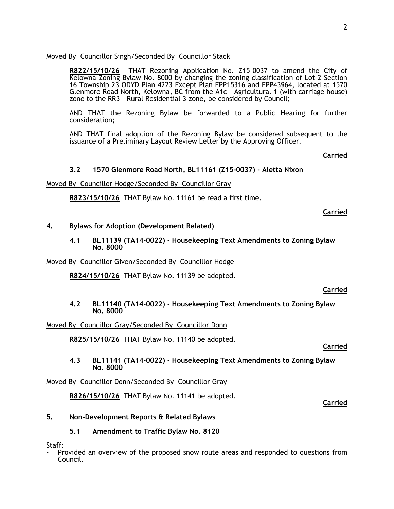#### Moved By Councillor Singh/Seconded By Councillor Stack

**R822/15/10/26** THAT Rezoning Application No. Z15-0037 to amend the City of Kelowna Zoning Bylaw No. 8000 by changing the zoning classification of Lot 2 Section 16 Township 23 ODYD Plan 4223 Except Plan EPP15316 and EPP43964, located at 1570 Glenmore Road North, Kelowna, BC from the A1c – Agricultural 1 (with carriage house) zone to the RR3 – Rural Residential 3 zone, be considered by Council;

AND THAT the Rezoning Bylaw be forwarded to a Public Hearing for further consideration;

AND THAT final adoption of the Rezoning Bylaw be considered subsequent to the issuance of a Preliminary Layout Review Letter by the Approving Officer.

#### **Carried**

#### **3.2 1570 Glenmore Road North, BL11161 (Z15-0037) - Aletta Nixon**

#### Moved By Councillor Hodge/Seconded By Councillor Gray

**R823/15/10/26** THAT Bylaw No. 11161 be read a first time.

**Carried**

#### **4. Bylaws for Adoption (Development Related)**

**4.1 BL11139 (TA14-0022) - Housekeeping Text Amendments to Zoning Bylaw No. 8000**

#### Moved By Councillor Given/Seconded By Councillor Hodge

**R824/15/10/26** THAT Bylaw No. 11139 be adopted.

#### **Carried**

#### **4.2 BL11140 (TA14-0022) - Housekeeping Text Amendments to Zoning Bylaw No. 8000**

Moved By Councillor Gray/Seconded By Councillor Donn

**R825/15/10/26** THAT Bylaw No. 11140 be adopted.

#### **Carried**

**Carried**

**4.3 BL11141 (TA14-0022) - Housekeeping Text Amendments to Zoning Bylaw No. 8000**

Moved By Councillor Donn/Seconded By Councillor Gray

**R826/15/10/26** THAT Bylaw No. 11141 be adopted.

#### **5. Non-Development Reports & Related Bylaws**

**5.1 Amendment to Traffic Bylaw No. 8120**

Staff:

- Provided an overview of the proposed snow route areas and responded to questions from Council.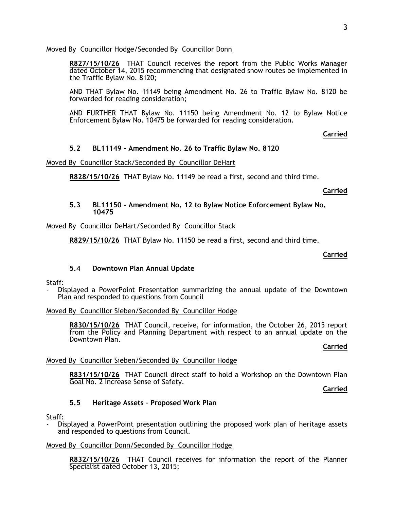#### Moved By Councillor Hodge/Seconded By Councillor Donn

**R827/15/10/26** THAT Council receives the report from the Public Works Manager dated October 14, 2015 recommending that designated snow routes be implemented in the Traffic Bylaw No. 8120;

AND THAT Bylaw No. 11149 being Amendment No. 26 to Traffic Bylaw No. 8120 be forwarded for reading consideration;

AND FURTHER THAT Bylaw No. 11150 being Amendment No. 12 to Bylaw Notice Enforcement Bylaw No. 10475 be forwarded for reading consideration.

#### **Carried**

### **5.2 BL11149 - Amendment No. 26 to Traffic Bylaw No. 8120**

Moved By Councillor Stack/Seconded By Councillor DeHart

**R828/15/10/26** THAT Bylaw No. 11149 be read a first, second and third time.

#### **Carried**

#### **5.3 BL11150 - Amendment No. 12 to Bylaw Notice Enforcement Bylaw No. 10475**

### Moved By Councillor DeHart/Seconded By Councillor Stack

**R829/15/10/26** THAT Bylaw No. 11150 be read a first, second and third time.

#### **Carried**

### **5.4 Downtown Plan Annual Update**

#### Staff:

- Displayed a PowerPoint Presentation summarizing the annual update of the Downtown Plan and responded to questions from Council

#### Moved By Councillor Sieben/Seconded By Councillor Hodge

**R830/15/10/26** THAT Council, receive, for information, the October 26, 2015 report from the Policy and Planning Department with respect to an annual update on the Downtown Plan.

#### **Carried**

### Moved By Councillor Sieben/Seconded By Councillor Hodge

**R831/15/10/26** THAT Council direct staff to hold a Workshop on the Downtown Plan Goal No. 2 Increase Sense of Safety.

**Carried**

### **5.5 Heritage Assets – Proposed Work Plan**

Staff:

Displayed a PowerPoint presentation outlining the proposed work plan of heritage assets and responded to questions from Council.

#### Moved By Councillor Donn/Seconded By Councillor Hodge

**R832/15/10/26** THAT Council receives for information the report of the Planner Specialist dated October 13, 2015;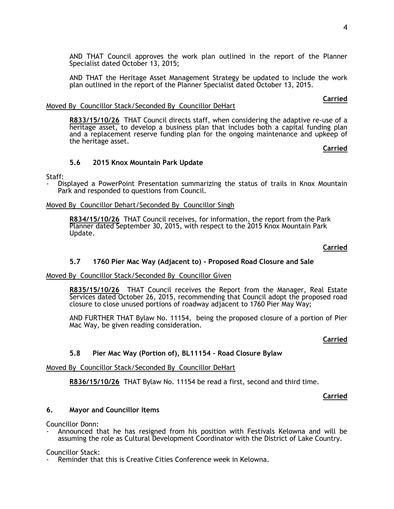AND THAT Council approves the work plan outlined in the report of the Planner Specialist dated October 13, 2015;

AND THAT the Heritage Asset Management Strategy be updated to include the work plan outlined in the report of the Planner Specialist dated October 13, 2015.

#### Moved By Councillor Stack/Seconded By Councillor DeHart

**R833/15/10/26** THAT Council directs staff, when considering the adaptive re-use of a heritage asset, to develop a business plan that includes both a capital funding plan and a replacement reserve funding plan for the ongoing maintenance and upkeep of the heritage asset.

**Carried**

**Carried**

#### **5.6 2015 Knox Mountain Park Update**

Staff:

Displayed a PowerPoint Presentation summarizing the status of trails in Knox Mountain Park and responded to questions from Council.

#### Moved By Councillor Dehart/Seconded By Councillor Singh

**R834/15/10/26** THAT Council receives, for information, the report from the Park Planner dated September 30, 2015, with respect to the 2015 Knox Mountain Park Update.

#### **Carried**

#### **5.7 1760 Pier Mac Way (Adjacent to) - Proposed Road Closure and Sale**

#### Moved By Councillor Stack/Seconded By Councillor Given

**R835/15/10/26** THAT Council receives the Report from the Manager, Real Estate Services dated October 26, 2015, recommending that Council adopt the proposed road closure to close unused portions of roadway adjacent to 1760 Pier May Way;

AND FURTHER THAT Bylaw No. 11154, being the proposed closure of a portion of Pier Mac Way, be given reading consideration.

#### **Carried**

#### **5.8 Pier Mac Way (Portion of), BL11154 - Road Closure Bylaw**

#### Moved By Councillor Stack/Seconded By Councillor DeHart

**R836/15/10/26** THAT Bylaw No. 11154 be read a first, second and third time.

#### **Carried**

#### **6. Mayor and Councillor Items**

Councillor Donn:

Announced that he has resigned from his position with Festivals Kelowna and will be assuming the role as Cultural Development Coordinator with the District of Lake Country.

#### Councillor Stack:

Reminder that this is Creative Cities Conference week in Kelowna.